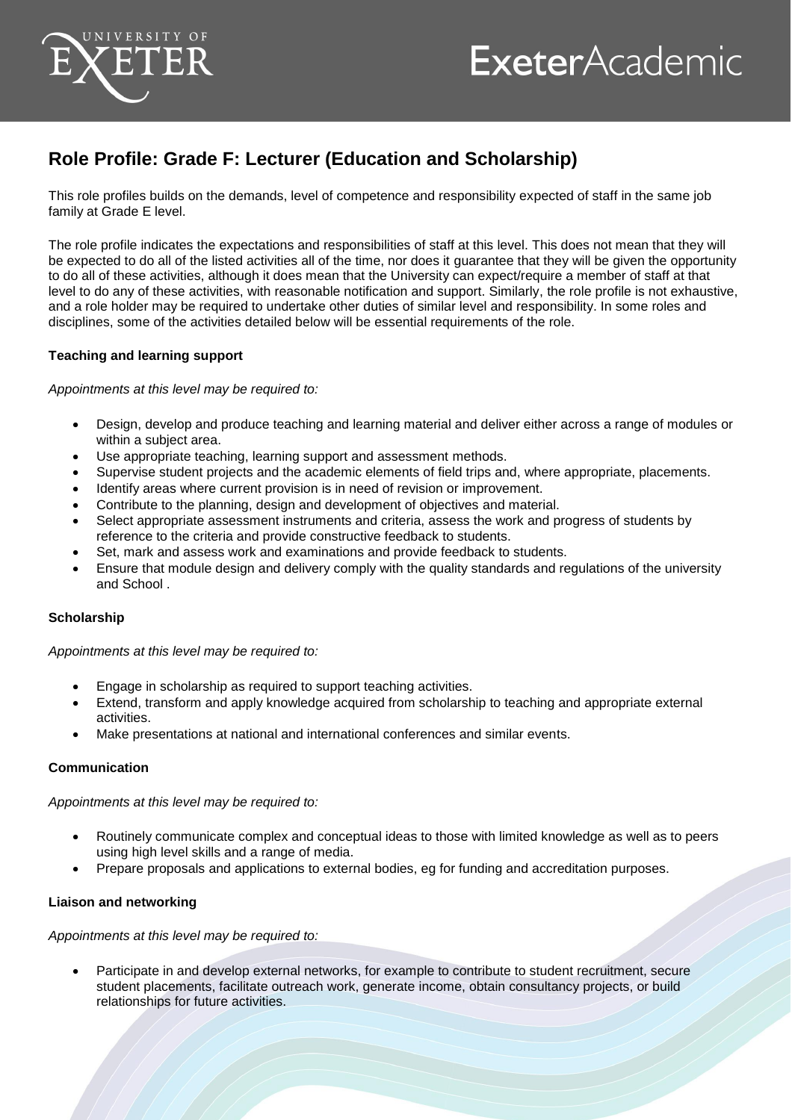

## **ExeterAcademic**

### **Role Profile: Grade F: Lecturer (Education and Scholarship)**

This role profiles builds on the demands, level of competence and responsibility expected of staff in the same job family at Grade E level.

The role profile indicates the expectations and responsibilities of staff at this level. This does not mean that they will be expected to do all of the listed activities all of the time, nor does it guarantee that they will be given the opportunity to do all of these activities, although it does mean that the University can expect/require a member of staff at that level to do any of these activities, with reasonable notification and support. Similarly, the role profile is not exhaustive, and a role holder may be required to undertake other duties of similar level and responsibility. In some roles and disciplines, some of the activities detailed below will be essential requirements of the role.

#### **Teaching and learning support**

*Appointments at this level may be required to:*

- Design, develop and produce teaching and learning material and deliver either across a range of modules or within a subject area.
- Use appropriate teaching, learning support and assessment methods.
- Supervise student projects and the academic elements of field trips and, where appropriate, placements.
- Identify areas where current provision is in need of revision or improvement.
- Contribute to the planning, design and development of objectives and material.
- Select appropriate assessment instruments and criteria, assess the work and progress of students by reference to the criteria and provide constructive feedback to students.
- Set, mark and assess work and examinations and provide feedback to students.
- Ensure that module design and delivery comply with the quality standards and regulations of the university and School .

#### **Scholarship**

*Appointments at this level may be required to:*

- Engage in scholarship as required to support teaching activities.
- Extend, transform and apply knowledge acquired from scholarship to teaching and appropriate external activities.
- Make presentations at national and international conferences and similar events.

#### **Communication**

*Appointments at this level may be required to:*

- Routinely communicate complex and conceptual ideas to those with limited knowledge as well as to peers using high level skills and a range of media.
- Prepare proposals and applications to external bodies, eg for funding and accreditation purposes.

#### **Liaison and networking**

*Appointments at this level may be required to:*

 Participate in and develop external networks, for example to contribute to student recruitment, secure student placements, facilitate outreach work, generate income, obtain consultancy projects, or build relationships for future activities.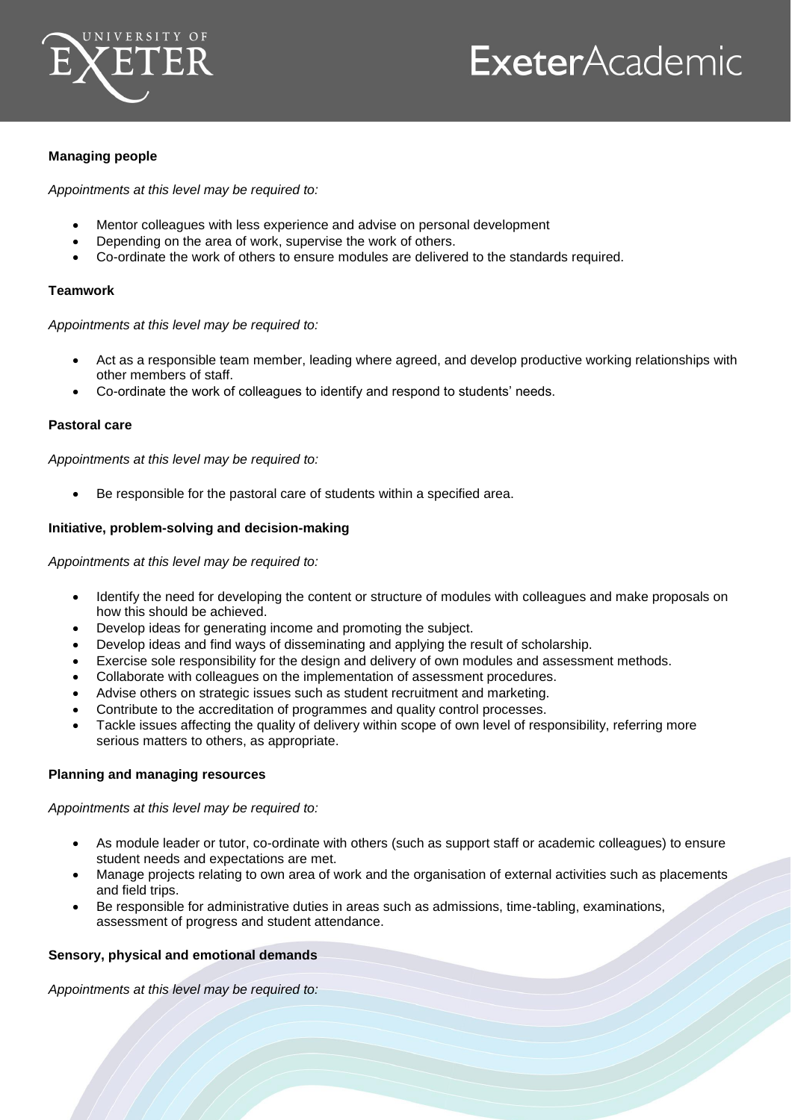

# **ExeterAcademic**

#### **Managing people**

*Appointments at this level may be required to:*

- Mentor colleagues with less experience and advise on personal development
- Depending on the area of work, supervise the work of others.
- Co-ordinate the work of others to ensure modules are delivered to the standards required.

#### **Teamwork**

*Appointments at this level may be required to:*

- Act as a responsible team member, leading where agreed, and develop productive working relationships with other members of staff.
- Co-ordinate the work of colleagues to identify and respond to students' needs.

#### **Pastoral care**

*Appointments at this level may be required to:*

Be responsible for the pastoral care of students within a specified area.

#### **Initiative, problem-solving and decision-making**

*Appointments at this level may be required to:*

- Identify the need for developing the content or structure of modules with colleagues and make proposals on how this should be achieved.
- Develop ideas for generating income and promoting the subject.
- Develop ideas and find ways of disseminating and applying the result of scholarship.
- Exercise sole responsibility for the design and delivery of own modules and assessment methods.
- Collaborate with colleagues on the implementation of assessment procedures.
- Advise others on strategic issues such as student recruitment and marketing.
- Contribute to the accreditation of programmes and quality control processes.
- Tackle issues affecting the quality of delivery within scope of own level of responsibility, referring more serious matters to others, as appropriate.

#### **Planning and managing resources**

*Appointments at this level may be required to:*

- As module leader or tutor, co-ordinate with others (such as support staff or academic colleagues) to ensure student needs and expectations are met.
- Manage projects relating to own area of work and the organisation of external activities such as placements and field trips.
- Be responsible for administrative duties in areas such as admissions, time-tabling, examinations, assessment of progress and student attendance.

#### **Sensory, physical and emotional demands**

*Appointments at this level may be required to:*